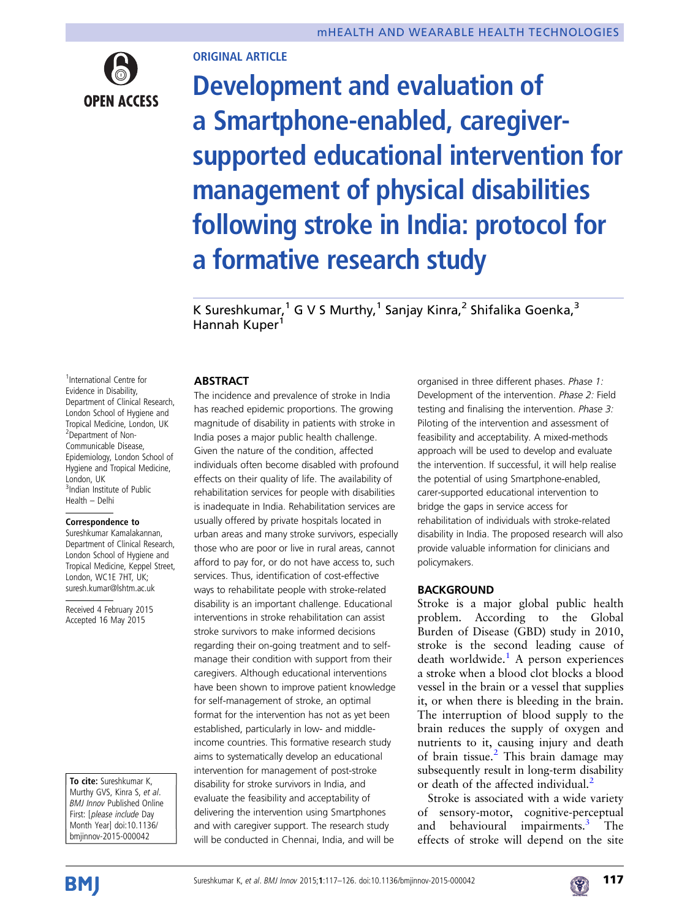

# **ORIGINAL ARTICLE**

Development and evaluation of a Smartphone-enabled, caregiversupported educational intervention for management of physical disabilities following stroke in India: protocol for a formative research study

K Sureshkumar,<sup>1</sup> G V S Murthy,<sup>1</sup> Sanjay Kinra,<sup>2</sup> Shifalika Goenka,<sup>3</sup> Hannah Kuper<sup>1</sup>

1 International Centre for Evidence in Disability, Department of Clinical Research, London School of Hygiene and Tropical Medicine, London, UK 2 Department of Non-Communicable Disease, Epidemiology, London School of Hygiene and Tropical Medicine, London, UK 3 Indian Institute of Public Health – Delhi

#### Correspondence to

Sureshkumar Kamalakannan, Department of Clinical Research, London School of Hygiene and Tropical Medicine, Keppel Street, London, WC1E 7HT, UK; suresh.kumar@lshtm.ac.uk

Received 4 February 2015 Accepted 16 May 2015

To cite: Sureshkumar K, Murthy GVS, Kinra S, et al. **BMJ** Innov Published Online First: [please include Day Month Year] doi:10.1136/ bmjinnov-2015-000042

#### ABSTRACT

The incidence and prevalence of stroke in India has reached epidemic proportions. The growing magnitude of disability in patients with stroke in India poses a major public health challenge. Given the nature of the condition, affected individuals often become disabled with profound effects on their quality of life. The availability of rehabilitation services for people with disabilities is inadequate in India. Rehabilitation services are usually offered by private hospitals located in urban areas and many stroke survivors, especially those who are poor or live in rural areas, cannot afford to pay for, or do not have access to, such services. Thus, identification of cost-effective ways to rehabilitate people with stroke-related disability is an important challenge. Educational interventions in stroke rehabilitation can assist stroke survivors to make informed decisions regarding their on-going treatment and to selfmanage their condition with support from their caregivers. Although educational interventions have been shown to improve patient knowledge for self-management of stroke, an optimal format for the intervention has not as yet been established, particularly in low- and middleincome countries. This formative research study aims to systematically develop an educational intervention for management of post-stroke disability for stroke survivors in India, and evaluate the feasibility and acceptability of delivering the intervention using Smartphones and with caregiver support. The research study will be conducted in Chennai, India, and will be

organised in three different phases. Phase 1: Development of the intervention. Phase 2: Field testing and finalising the intervention. Phase 3: Piloting of the intervention and assessment of feasibility and acceptability. A mixed-methods approach will be used to develop and evaluate the intervention. If successful, it will help realise the potential of using Smartphone-enabled, carer-supported educational intervention to bridge the gaps in service access for rehabilitation of individuals with stroke-related disability in India. The proposed research will also provide valuable information for clinicians and policymakers.

#### **BACKGROUND**

Stroke is a major global public health problem. According to the Global Burden of Disease (GBD) study in 2010, stroke is the second leading cause of death worldwide. $<sup>1</sup>$  $<sup>1</sup>$  $<sup>1</sup>$  A person experiences</sup> a stroke when a blood clot blocks a blood vessel in the brain or a vessel that supplies it, or when there is bleeding in the brain. The interruption of blood supply to the brain reduces the supply of oxygen and nutrients to it, causing injury and death of brain tissue.<sup>[2](#page-8-0)</sup> This brain damage may subsequently result in long-term disability or death of the affected individual.<sup>[2](#page-8-0)</sup>

Stroke is associated with a wide variety of sensory-motor, cognitive-perceptual and behavioural impairments.<sup>3</sup> The effects of stroke will depend on the site



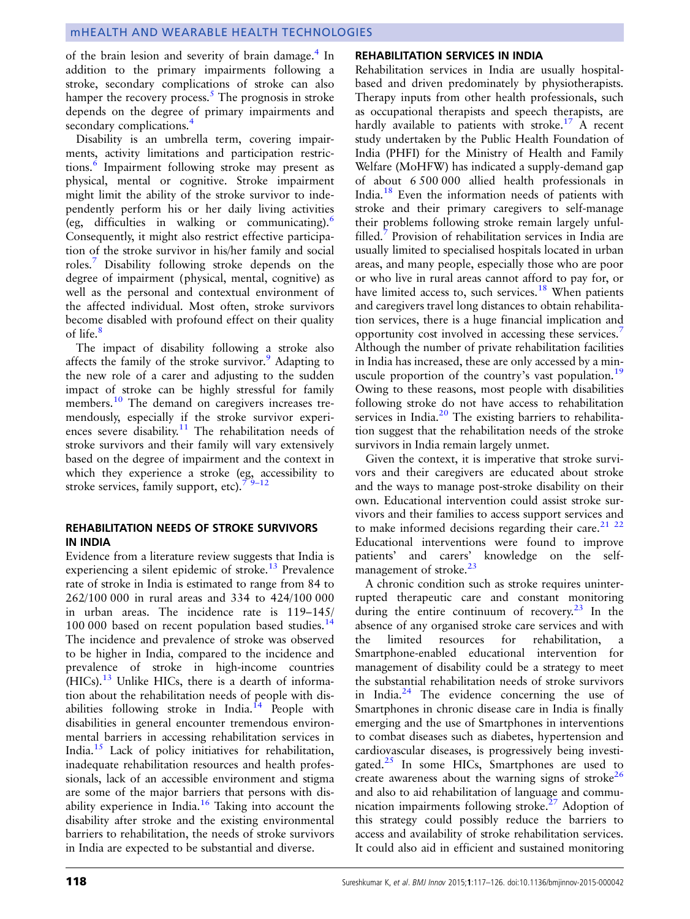of the brain lesion and severity of brain damage.<sup>[4](#page-8-0)</sup> In addition to the primary impairments following a stroke, secondary complications of stroke can also hamper the recovery process. $<sup>5</sup>$  $<sup>5</sup>$  $<sup>5</sup>$  The prognosis in stroke</sup> depends on the degree of primary impairments and secondary complications.<sup>[4](#page-8-0)</sup>

Disability is an umbrella term, covering impairments, activity limitations and participation restric-tions.<sup>[6](#page-8-0)</sup> Impairment following stroke may present as physical, mental or cognitive. Stroke impairment might limit the ability of the stroke survivor to independently perform his or her daily living activities (eg, difficulties in walking or communicating). $\frac{6}{5}$  $\frac{6}{5}$  $\frac{6}{5}$ Consequently, it might also restrict effective participation of the stroke survivor in his/her family and social roles.[7](#page-8-0) Disability following stroke depends on the degree of impairment (physical, mental, cognitive) as well as the personal and contextual environment of the affected individual. Most often, stroke survivors become disabled with profound effect on their quality of life.<sup>[8](#page-8-0)</sup>

The impact of disability following a stroke also affects the family of the stroke survivor.<sup>[9](#page-8-0)</sup> Adapting to the new role of a carer and adjusting to the sudden impact of stroke can be highly stressful for family members.<sup>[10](#page-8-0)</sup> The demand on caregivers increases tremendously, especially if the stroke survivor experi-ences severe disability.<sup>[11](#page-8-0)</sup> The rehabilitation needs of stroke survivors and their family will vary extensively based on the degree of impairment and the context in which they experience a stroke (eg, accessibility to stroke services family support etc)  $(7.9-12)$ stroke services, family support,  $etc$ ).<sup>[7](#page-8-0)</sup>

# REHABILITATION NEEDS OF STROKE SURVIVORS IN INDIA

Evidence from a literature review suggests that India is experiencing a silent epidemic of stroke.<sup>[13](#page-8-0)</sup> Prevalence rate of stroke in India is estimated to range from 84 to 262/100 000 in rural areas and 334 to 424/100 000 in urban areas. The incidence rate is 119–145/ 100 000 based on recent population based studies.<sup>[14](#page-8-0)</sup> The incidence and prevalence of stroke was observed to be higher in India, compared to the incidence and prevalence of stroke in high-income countries  $(HICs).<sup>13</sup>$  $(HICs).<sup>13</sup>$  $(HICs).<sup>13</sup>$  Unlike HICs, there is a dearth of information about the rehabilitation needs of people with dis-abilities following stroke in India.<sup>[14](#page-8-0)</sup> People with disabilities in general encounter tremendous environmental barriers in accessing rehabilitation services in India. $15$  Lack of policy initiatives for rehabilitation, inadequate rehabilitation resources and health professionals, lack of an accessible environment and stigma are some of the major barriers that persons with dis-ability experience in India.<sup>[16](#page-8-0)</sup> Taking into account the disability after stroke and the existing environmental barriers to rehabilitation, the needs of stroke survivors in India are expected to be substantial and diverse.

# REHABILITATION SERVICES IN INDIA

Rehabilitation services in India are usually hospitalbased and driven predominately by physiotherapists. Therapy inputs from other health professionals, such as occupational therapists and speech therapists, are hardly available to patients with stroke.<sup>17</sup> A recent study undertaken by the Public Health Foundation of India (PHFI) for the Ministry of Health and Family Welfare (MoHFW) has indicated a supply-demand gap of about 6 500 000 allied health professionals in India.[18](#page-8-0) Even the information needs of patients with stroke and their primary caregivers to self-manage their problems following stroke remain largely unfulfilled.[7](#page-8-0) Provision of rehabilitation services in India are usually limited to specialised hospitals located in urban areas, and many people, especially those who are poor or who live in rural areas cannot afford to pay for, or have limited access to, such services.<sup>[18](#page-8-0)</sup> When patients and caregivers travel long distances to obtain rehabilitation services, there is a huge financial implication and opportunity cost involved in accessing these services.[7](#page-8-0) Although the number of private rehabilitation facilities in India has increased, these are only accessed by a min-uscule proportion of the country's vast population.<sup>[19](#page-8-0)</sup> Owing to these reasons, most people with disabilities following stroke do not have access to rehabilitation services in India.<sup>[20](#page-8-0)</sup> The existing barriers to rehabilitation suggest that the rehabilitation needs of the stroke survivors in India remain largely unmet.

Given the context, it is imperative that stroke survivors and their caregivers are educated about stroke and the ways to manage post-stroke disability on their own. Educational intervention could assist stroke survivors and their families to access support services and to make informed decisions regarding their care. $21 22$ Educational interventions were found to improve patients' and carers' knowledge on the self-management of stroke.<sup>[23](#page-8-0)</sup>

A chronic condition such as stroke requires uninterrupted therapeutic care and constant monitoring during the entire continuum of recovery. $23$  In the absence of any organised stroke care services and with the limited resources for rehabilitation, Smartphone-enabled educational intervention for management of disability could be a strategy to meet the substantial rehabilitation needs of stroke survivors in India. $^{24}$  $^{24}$  $^{24}$  The evidence concerning the use of Smartphones in chronic disease care in India is finally emerging and the use of Smartphones in interventions to combat diseases such as diabetes, hypertension and cardiovascular diseases, is progressively being investigated. $25$  In some HICs, Smartphones are used to create awareness about the warning signs of stroke<sup>[26](#page-8-0)</sup> and also to aid rehabilitation of language and communication impairments following stroke. $27$  Adoption of this strategy could possibly reduce the barriers to access and availability of stroke rehabilitation services. It could also aid in efficient and sustained monitoring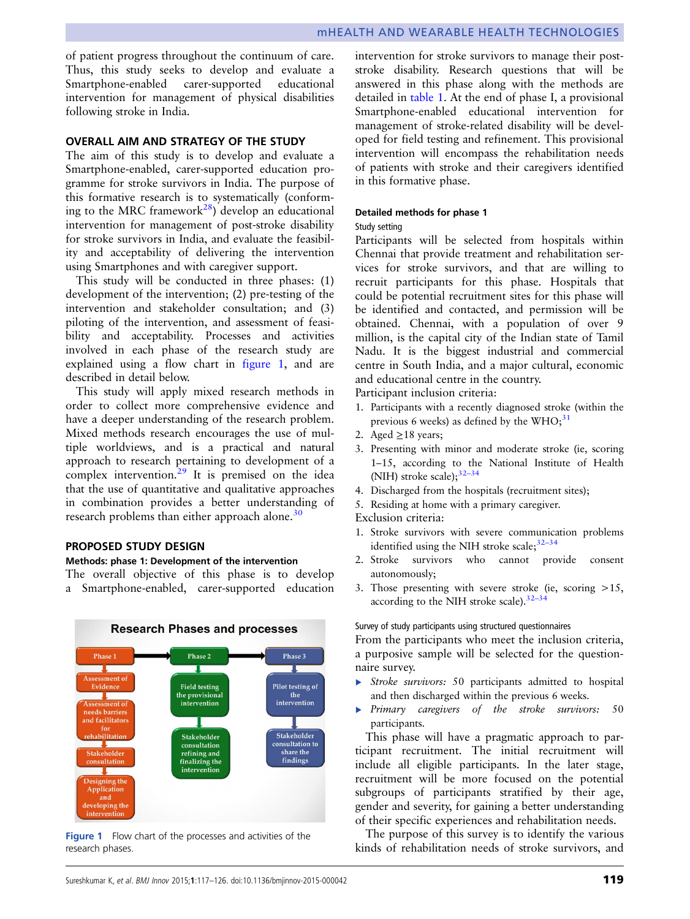of patient progress throughout the continuum of care. Thus, this study seeks to develop and evaluate a Smartphone-enabled carer-supported educational intervention for management of physical disabilities following stroke in India.

# OVERALL AIM AND STRATEGY OF THE STUDY

The aim of this study is to develop and evaluate a Smartphone-enabled, carer-supported education programme for stroke survivors in India. The purpose of this formative research is to systematically (conforming to the MRC framework<sup>28</sup>) develop an educational intervention for management of post-stroke disability for stroke survivors in India, and evaluate the feasibility and acceptability of delivering the intervention using Smartphones and with caregiver support.

This study will be conducted in three phases: (1) development of the intervention; (2) pre-testing of the intervention and stakeholder consultation; and (3) piloting of the intervention, and assessment of feasibility and acceptability. Processes and activities involved in each phase of the research study are explained using a flow chart in figure 1, and are described in detail below.

This study will apply mixed research methods in order to collect more comprehensive evidence and have a deeper understanding of the research problem. Mixed methods research encourages the use of multiple worldviews, and is a practical and natural approach to research pertaining to development of a complex intervention. $29$  It is premised on the idea that the use of quantitative and qualitative approaches in combination provides a better understanding of research problems than either approach alone. $30$ 

# PROPOSED STUDY DESIGN

#### Methods: phase 1: Development of the intervention

The overall objective of this phase is to develop a Smartphone-enabled, carer-supported education





intervention for stroke survivors to manage their poststroke disability. Research questions that will be answered in this phase along with the methods are detailed in [table 1](#page-3-0). At the end of phase I, a provisional Smartphone-enabled educational intervention for management of stroke-related disability will be developed for field testing and refinement. This provisional intervention will encompass the rehabilitation needs of patients with stroke and their caregivers identified in this formative phase.

#### Detailed methods for phase 1

## Study setting

Participants will be selected from hospitals within Chennai that provide treatment and rehabilitation services for stroke survivors, and that are willing to recruit participants for this phase. Hospitals that could be potential recruitment sites for this phase will be identified and contacted, and permission will be obtained. Chennai, with a population of over 9 million, is the capital city of the Indian state of Tamil Nadu. It is the biggest industrial and commercial centre in South India, and a major cultural, economic and educational centre in the country.

Participant inclusion criteria:

- 1. Participants with a recently diagnosed stroke (within the previous 6 weeks) as defined by the  $WHO;^{31}$
- 2. Aged  $\geq$ 18 years;
- 3. Presenting with minor and moderate stroke (ie, scoring 1–15, according to the National Institute of Health (NIH) stroke scale); $32-34$  $32-34$
- 4. Discharged from the hospitals (recruitment sites);
- 5. Residing at home with a primary caregiver.

Exclusion criteria:

- 1. Stroke survivors with severe communication problems identified using the NIH stroke scale;<sup>[32](#page-9-0)-34</sup>
- 2. Stroke survivors who cannot provide consent autonomously;
- 3. Those presenting with severe stroke (ie, scoring >15, according to the NIH stroke scale).  $32-34$  $32-34$

Survey of study participants using structured questionnaires

From the participants who meet the inclusion criteria, a purposive sample will be selected for the questionnaire survey.

- ▶ *Stroke survivors:* 50 participants admitted to hospital and then discharged within the previous 6 weeks.
- ▸ Primary caregivers of the stroke survivors: 50 participants.

This phase will have a pragmatic approach to participant recruitment. The initial recruitment will include all eligible participants. In the later stage, recruitment will be more focused on the potential subgroups of participants stratified by their age, gender and severity, for gaining a better understanding of their specific experiences and rehabilitation needs.

The purpose of this survey is to identify the various kinds of rehabilitation needs of stroke survivors, and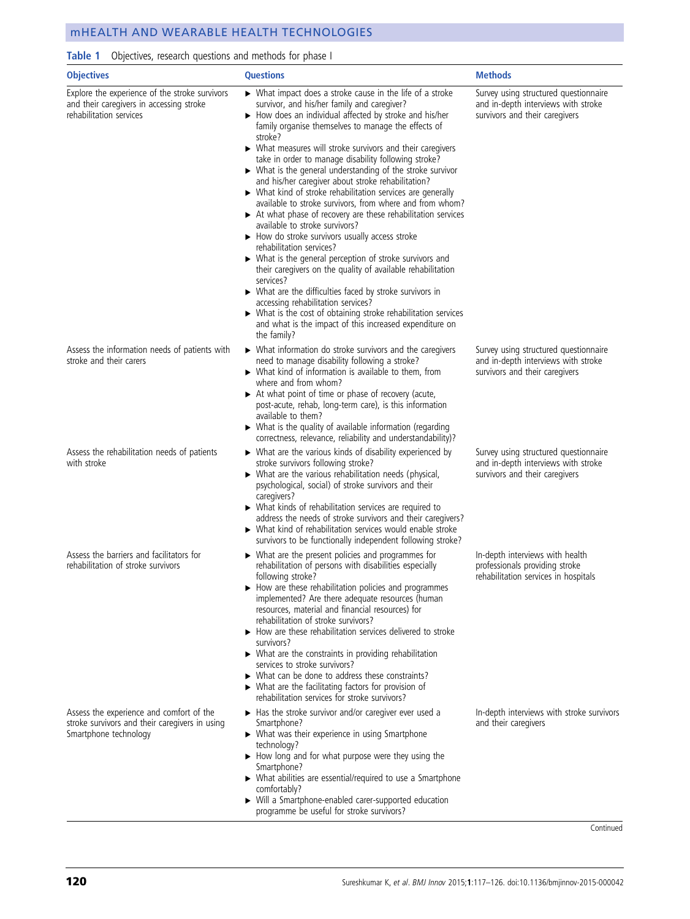# <span id="page-3-0"></span>mHEALTH AND WEARABLE HEALTH TECHNOLOGIES

# Table 1 Objectives, research questions and methods for phase I

| <b>Objectives</b>                                                                                                     | <b>Questions</b>                                                                                                                                                                                                                                                                                                                                                                                                                                                                                                                                                                                                                                                                                                                                                                                                                                                                                                                                                                                                                                                                                                                                                                 | <b>Methods</b>                                                                                                 |
|-----------------------------------------------------------------------------------------------------------------------|----------------------------------------------------------------------------------------------------------------------------------------------------------------------------------------------------------------------------------------------------------------------------------------------------------------------------------------------------------------------------------------------------------------------------------------------------------------------------------------------------------------------------------------------------------------------------------------------------------------------------------------------------------------------------------------------------------------------------------------------------------------------------------------------------------------------------------------------------------------------------------------------------------------------------------------------------------------------------------------------------------------------------------------------------------------------------------------------------------------------------------------------------------------------------------|----------------------------------------------------------------------------------------------------------------|
| Explore the experience of the stroke survivors<br>and their caregivers in accessing stroke<br>rehabilitation services | • What impact does a stroke cause in the life of a stroke<br>survivor, and his/her family and caregiver?<br>> How does an individual affected by stroke and his/her<br>family organise themselves to manage the effects of<br>stroke?<br>• What measures will stroke survivors and their caregivers<br>take in order to manage disability following stroke?<br>• What is the general understanding of the stroke survivor<br>and his/her caregiver about stroke rehabilitation?<br>> What kind of stroke rehabilitation services are generally<br>available to stroke survivors, from where and from whom?<br>At what phase of recovery are these rehabilitation services<br>available to stroke survivors?<br>> How do stroke survivors usually access stroke<br>rehabilitation services?<br>• What is the general perception of stroke survivors and<br>their caregivers on the quality of available rehabilitation<br>services?<br>> What are the difficulties faced by stroke survivors in<br>accessing rehabilitation services?<br>> What is the cost of obtaining stroke rehabilitation services<br>and what is the impact of this increased expenditure on<br>the family? | Survey using structured questionnaire<br>and in-depth interviews with stroke<br>survivors and their caregivers |
| Assess the information needs of patients with<br>stroke and their carers                                              | > What information do stroke survivors and the caregivers<br>need to manage disability following a stroke?<br>> What kind of information is available to them, from<br>where and from whom?<br>At what point of time or phase of recovery (acute,<br>post-acute, rehab, long-term care), is this information<br>available to them?<br>$\triangleright$ What is the quality of available information (regarding<br>correctness, relevance, reliability and understandability)?                                                                                                                                                                                                                                                                                                                                                                                                                                                                                                                                                                                                                                                                                                    | Survey using structured questionnaire<br>and in-depth interviews with stroke<br>survivors and their caregivers |
| Assess the rehabilitation needs of patients<br>with stroke                                                            | • What are the various kinds of disability experienced by<br>stroke survivors following stroke?<br>$\triangleright$ What are the various rehabilitation needs (physical,<br>psychological, social) of stroke survivors and their<br>caregivers?<br>$\triangleright$ What kinds of rehabilitation services are required to<br>address the needs of stroke survivors and their caregivers?<br>> What kind of rehabilitation services would enable stroke<br>survivors to be functionally independent following stroke?                                                                                                                                                                                                                                                                                                                                                                                                                                                                                                                                                                                                                                                             | Survey using structured questionnaire<br>and in-depth interviews with stroke<br>survivors and their caregivers |
| Assess the barriers and facilitators for<br>rehabilitation of stroke survivors                                        | $\triangleright$ What are the present policies and programmes for<br>rehabilitation of persons with disabilities especially<br>following stroke?<br>How are these rehabilitation policies and programmes<br>implemented? Are there adequate resources (human<br>resources, material and financial resources) for<br>rehabilitation of stroke survivors?<br>• How are these rehabilitation services delivered to stroke<br>survivors?<br>$\triangleright$ What are the constraints in providing rehabilitation<br>services to stroke survivors?<br>> What can be done to address these constraints?<br>> What are the facilitating factors for provision of<br>rehabilitation services for stroke survivors?                                                                                                                                                                                                                                                                                                                                                                                                                                                                      | In-depth interviews with health<br>professionals providing stroke<br>rehabilitation services in hospitals      |
| Assess the experience and comfort of the<br>stroke survivors and their caregivers in using<br>Smartphone technology   | $\blacktriangleright$ Has the stroke survivor and/or caregiver ever used a<br>Smartphone?<br>> What was their experience in using Smartphone<br>technology?<br>> How long and for what purpose were they using the<br>Smartphone?<br>• What abilities are essential/required to use a Smartphone<br>comfortably?<br>> Will a Smartphone-enabled carer-supported education<br>programme be useful for stroke survivors?                                                                                                                                                                                                                                                                                                                                                                                                                                                                                                                                                                                                                                                                                                                                                           | In-depth interviews with stroke survivors<br>and their caregivers                                              |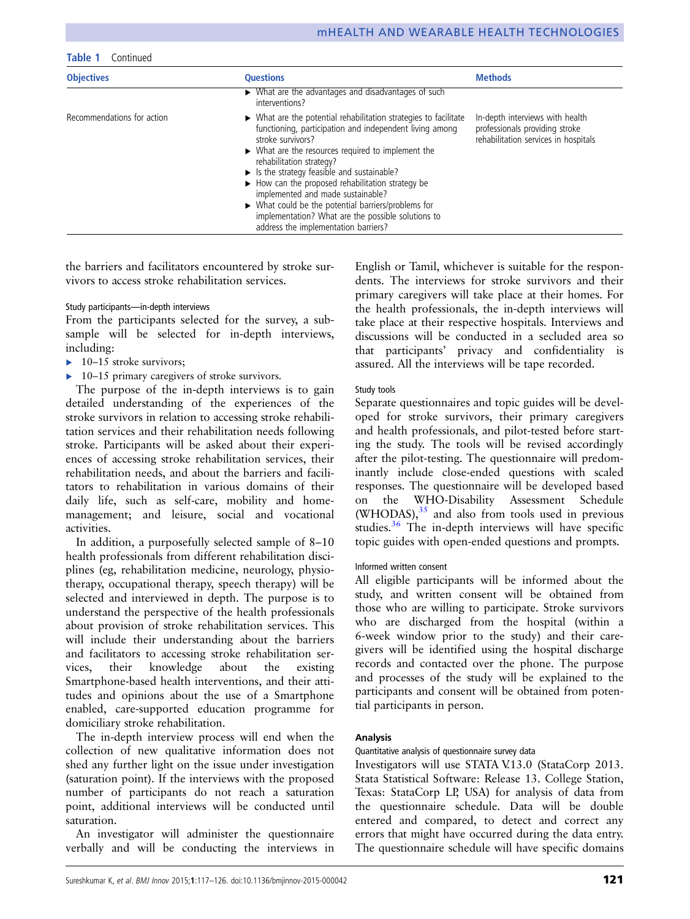#### Table 1 Continued Objectives and the contract of the contract of the contract of the contract of the contract of the contract of ▸ What are the advantages and disadvantages of such interventions? Recommendations for action  $\rightarrow$  What are the potential rehabilitation strategies to facilitate functioning, participation and independent living among stroke survivors? ▸ What are the resources required to implement the rehabilitation strategy? ▸ Is the strategy feasible and sustainable? How can the proposed rehabilitation strategy be implemented and made sustainable? What could be the potential barriers/problems for implementation? What are the possible solutions to address the implementation barriers? In-depth interviews with health professionals providing stroke rehabilitation services in hospitals

the barriers and facilitators encountered by stroke survivors to access stroke rehabilitation services.

# Study participants—in-depth interviews

From the participants selected for the survey, a subsample will be selected for in-depth interviews, including:

- $\blacktriangleright$  10–15 stroke survivors;
- ▶ 10–15 primary caregivers of stroke survivors.

The purpose of the in-depth interviews is to gain detailed understanding of the experiences of the stroke survivors in relation to accessing stroke rehabilitation services and their rehabilitation needs following stroke. Participants will be asked about their experiences of accessing stroke rehabilitation services, their rehabilitation needs, and about the barriers and facilitators to rehabilitation in various domains of their daily life, such as self-care, mobility and homemanagement; and leisure, social and vocational activities.

In addition, a purposefully selected sample of 8–10 health professionals from different rehabilitation disciplines (eg, rehabilitation medicine, neurology, physiotherapy, occupational therapy, speech therapy) will be selected and interviewed in depth. The purpose is to understand the perspective of the health professionals about provision of stroke rehabilitation services. This will include their understanding about the barriers and facilitators to accessing stroke rehabilitation services, their knowledge about the existing Smartphone-based health interventions, and their attitudes and opinions about the use of a Smartphone enabled, care-supported education programme for domiciliary stroke rehabilitation.

The in-depth interview process will end when the collection of new qualitative information does not shed any further light on the issue under investigation (saturation point). If the interviews with the proposed number of participants do not reach a saturation point, additional interviews will be conducted until saturation.

An investigator will administer the questionnaire verbally and will be conducting the interviews in

English or Tamil, whichever is suitable for the respondents. The interviews for stroke survivors and their primary caregivers will take place at their homes. For the health professionals, the in-depth interviews will take place at their respective hospitals. Interviews and discussions will be conducted in a secluded area so that participants' privacy and confidentiality is assured. All the interviews will be tape recorded.

#### Study tools

Separate questionnaires and topic guides will be developed for stroke survivors, their primary caregivers and health professionals, and pilot-tested before starting the study. The tools will be revised accordingly after the pilot-testing. The questionnaire will predominantly include close-ended questions with scaled responses. The questionnaire will be developed based on the WHO-Disability Assessment Schedule  $(WHODAS)$ ,<sup>[35](#page-9-0)</sup> and also from tools used in previous studies.<sup>[36](#page-9-0)</sup> The in-depth interviews will have specific topic guides with open-ended questions and prompts.

#### Informed written consent

All eligible participants will be informed about the study, and written consent will be obtained from those who are willing to participate. Stroke survivors who are discharged from the hospital (within a 6-week window prior to the study) and their caregivers will be identified using the hospital discharge records and contacted over the phone. The purpose and processes of the study will be explained to the participants and consent will be obtained from potential participants in person.

#### Analysis

#### Quantitative analysis of questionnaire survey data

Investigators will use STATA V.13.0 (StataCorp 2013. Stata Statistical Software: Release 13. College Station, Texas: StataCorp LP, USA) for analysis of data from the questionnaire schedule. Data will be double entered and compared, to detect and correct any errors that might have occurred during the data entry. The questionnaire schedule will have specific domains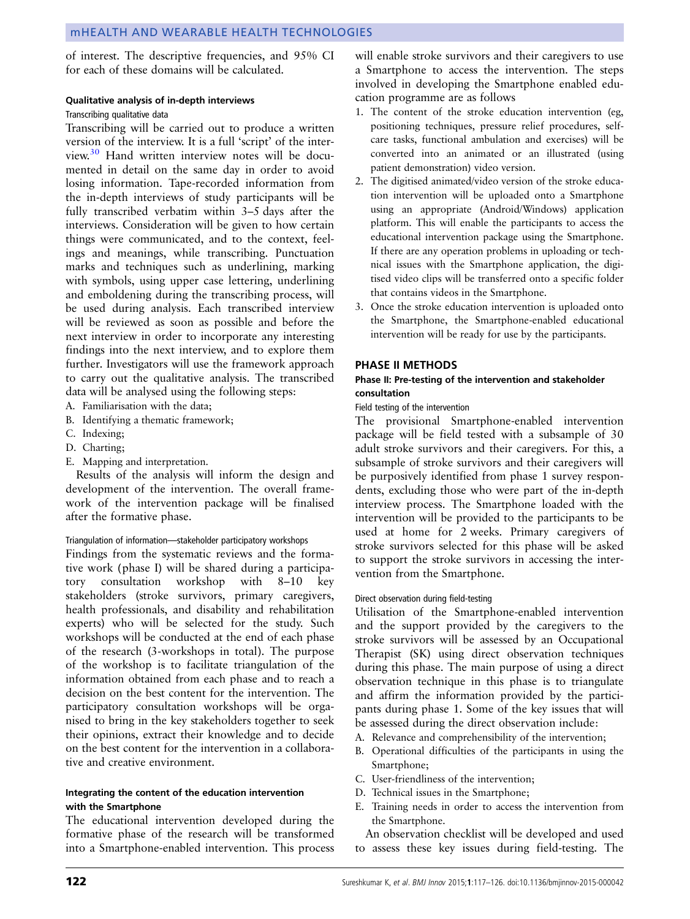of interest. The descriptive frequencies, and 95% CI for each of these domains will be calculated.

# Qualitative analysis of in-depth interviews

# Transcribing qualitative data

Transcribing will be carried out to produce a written version of the interview. It is a full 'script' of the interview.[30](#page-9-0) Hand written interview notes will be documented in detail on the same day in order to avoid losing information. Tape-recorded information from the in-depth interviews of study participants will be fully transcribed verbatim within 3–5 days after the interviews. Consideration will be given to how certain things were communicated, and to the context, feelings and meanings, while transcribing. Punctuation marks and techniques such as underlining, marking with symbols, using upper case lettering, underlining and emboldening during the transcribing process, will be used during analysis. Each transcribed interview will be reviewed as soon as possible and before the next interview in order to incorporate any interesting findings into the next interview, and to explore them further. Investigators will use the framework approach to carry out the qualitative analysis. The transcribed data will be analysed using the following steps:

- A. Familiarisation with the data;
- B. Identifying a thematic framework;
- C. Indexing;
- D. Charting;
- E. Mapping and interpretation.

Results of the analysis will inform the design and development of the intervention. The overall framework of the intervention package will be finalised after the formative phase.

#### Triangulation of information—stakeholder participatory workshops

Findings from the systematic reviews and the formative work (phase I) will be shared during a participatory consultation workshop with 8–10 key stakeholders (stroke survivors, primary caregivers, health professionals, and disability and rehabilitation experts) who will be selected for the study. Such workshops will be conducted at the end of each phase of the research (3-workshops in total). The purpose of the workshop is to facilitate triangulation of the information obtained from each phase and to reach a decision on the best content for the intervention. The participatory consultation workshops will be organised to bring in the key stakeholders together to seek their opinions, extract their knowledge and to decide on the best content for the intervention in a collaborative and creative environment.

#### Integrating the content of the education intervention with the Smartphone

The educational intervention developed during the formative phase of the research will be transformed into a Smartphone-enabled intervention. This process

will enable stroke survivors and their caregivers to use a Smartphone to access the intervention. The steps involved in developing the Smartphone enabled education programme are as follows

- 1. The content of the stroke education intervention (eg, positioning techniques, pressure relief procedures, selfcare tasks, functional ambulation and exercises) will be converted into an animated or an illustrated (using patient demonstration) video version.
- 2. The digitised animated/video version of the stroke education intervention will be uploaded onto a Smartphone using an appropriate (Android/Windows) application platform. This will enable the participants to access the educational intervention package using the Smartphone. If there are any operation problems in uploading or technical issues with the Smartphone application, the digitised video clips will be transferred onto a specific folder that contains videos in the Smartphone.
- 3. Once the stroke education intervention is uploaded onto the Smartphone, the Smartphone-enabled educational intervention will be ready for use by the participants.

# PHASE II METHODS

# Phase II: Pre-testing of the intervention and stakeholder consultation

#### Field testing of the intervention

The provisional Smartphone-enabled intervention package will be field tested with a subsample of 30 adult stroke survivors and their caregivers. For this, a subsample of stroke survivors and their caregivers will be purposively identified from phase 1 survey respondents, excluding those who were part of the in-depth interview process. The Smartphone loaded with the intervention will be provided to the participants to be used at home for 2 weeks. Primary caregivers of stroke survivors selected for this phase will be asked to support the stroke survivors in accessing the intervention from the Smartphone.

#### Direct observation during field-testing

Utilisation of the Smartphone-enabled intervention and the support provided by the caregivers to the stroke survivors will be assessed by an Occupational Therapist (SK) using direct observation techniques during this phase. The main purpose of using a direct observation technique in this phase is to triangulate and affirm the information provided by the participants during phase 1. Some of the key issues that will be assessed during the direct observation include:

- A. Relevance and comprehensibility of the intervention;
- B. Operational difficulties of the participants in using the Smartphone;
- C. User-friendliness of the intervention;
- D. Technical issues in the Smartphone;
- E. Training needs in order to access the intervention from the Smartphone.

An observation checklist will be developed and used to assess these key issues during field-testing. The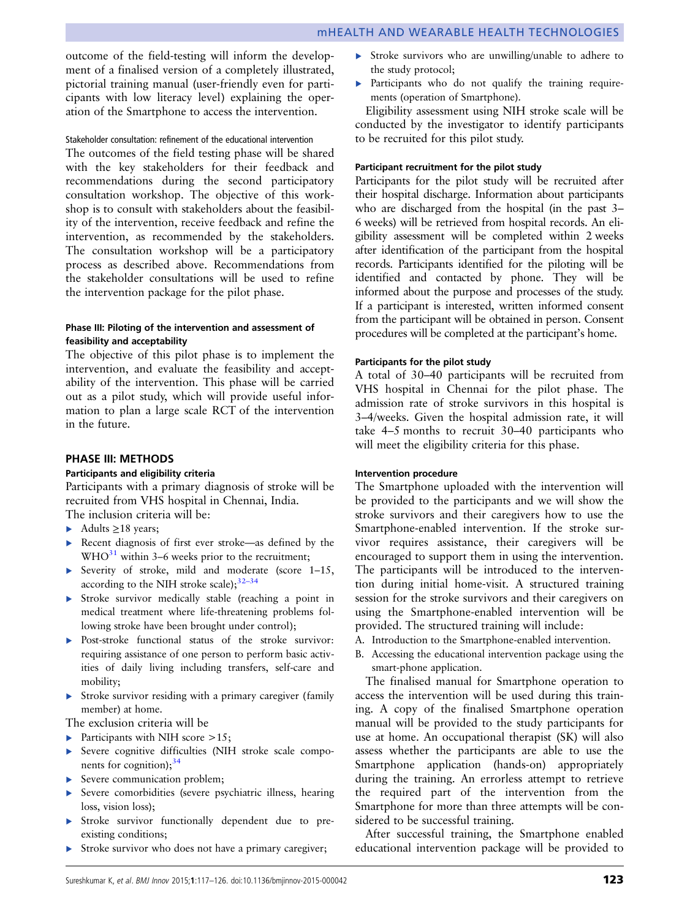outcome of the field-testing will inform the development of a finalised version of a completely illustrated, pictorial training manual (user-friendly even for participants with low literacy level) explaining the operation of the Smartphone to access the intervention.

Stakeholder consultation: refinement of the educational intervention

The outcomes of the field testing phase will be shared with the key stakeholders for their feedback and recommendations during the second participatory consultation workshop. The objective of this workshop is to consult with stakeholders about the feasibility of the intervention, receive feedback and refine the intervention, as recommended by the stakeholders. The consultation workshop will be a participatory process as described above. Recommendations from the stakeholder consultations will be used to refine the intervention package for the pilot phase.

## Phase III: Piloting of the intervention and assessment of feasibility and acceptability

The objective of this pilot phase is to implement the intervention, and evaluate the feasibility and acceptability of the intervention. This phase will be carried out as a pilot study, which will provide useful information to plan a large scale RCT of the intervention in the future.

# PHASE III: METHODS

# Participants and eligibility criteria

Participants with a primary diagnosis of stroke will be recruited from VHS hospital in Chennai, India.

The inclusion criteria will be:

- Adults  $\geq$  18 years;
- ▸ Recent diagnosis of first ever stroke—as defined by the  $WHO<sup>31</sup>$  $WHO<sup>31</sup>$  $WHO<sup>31</sup>$  within 3–6 weeks prior to the recruitment;
- $\triangleright$  Severity of stroke, mild and moderate (score 1–15, according to the NIH stroke scale); $32-34$  $32-34$
- ▸ Stroke survivor medically stable (reaching a point in medical treatment where life-threatening problems following stroke have been brought under control);
- ▸ Post-stroke functional status of the stroke survivor: requiring assistance of one person to perform basic activities of daily living including transfers, self-care and mobility;
- ▸ Stroke survivor residing with a primary caregiver (family member) at home.
- The exclusion criteria will be
- ▶ Participants with NIH score >15;
- ▸ Severe cognitive difficulties (NIH stroke scale components for cognition); $34$
- ▶ Severe communication problem;
- ▸ Severe comorbidities (severe psychiatric illness, hearing loss, vision loss);
- ▸ Stroke survivor functionally dependent due to preexisting conditions;
- ▸ Stroke survivor who does not have a primary caregiver;
- ▸ Stroke survivors who are unwilling/unable to adhere to the study protocol;
- ▸ Participants who do not qualify the training requirements (operation of Smartphone).

Eligibility assessment using NIH stroke scale will be conducted by the investigator to identify participants to be recruited for this pilot study.

## Participant recruitment for the pilot study

Participants for the pilot study will be recruited after their hospital discharge. Information about participants who are discharged from the hospital (in the past 3– 6 weeks) will be retrieved from hospital records. An eligibility assessment will be completed within 2 weeks after identification of the participant from the hospital records. Participants identified for the piloting will be identified and contacted by phone. They will be informed about the purpose and processes of the study. If a participant is interested, written informed consent from the participant will be obtained in person. Consent procedures will be completed at the participant's home.

# Participants for the pilot study

A total of 30–40 participants will be recruited from VHS hospital in Chennai for the pilot phase. The admission rate of stroke survivors in this hospital is 3–4/weeks. Given the hospital admission rate, it will take 4–5 months to recruit 30–40 participants who will meet the eligibility criteria for this phase.

#### Intervention procedure

The Smartphone uploaded with the intervention will be provided to the participants and we will show the stroke survivors and their caregivers how to use the Smartphone-enabled intervention. If the stroke survivor requires assistance, their caregivers will be encouraged to support them in using the intervention. The participants will be introduced to the intervention during initial home-visit. A structured training session for the stroke survivors and their caregivers on using the Smartphone-enabled intervention will be provided. The structured training will include:

- A. Introduction to the Smartphone-enabled intervention.
- B. Accessing the educational intervention package using the smart-phone application.

The finalised manual for Smartphone operation to access the intervention will be used during this training. A copy of the finalised Smartphone operation manual will be provided to the study participants for use at home. An occupational therapist (SK) will also assess whether the participants are able to use the Smartphone application (hands-on) appropriately during the training. An errorless attempt to retrieve the required part of the intervention from the Smartphone for more than three attempts will be considered to be successful training.

After successful training, the Smartphone enabled educational intervention package will be provided to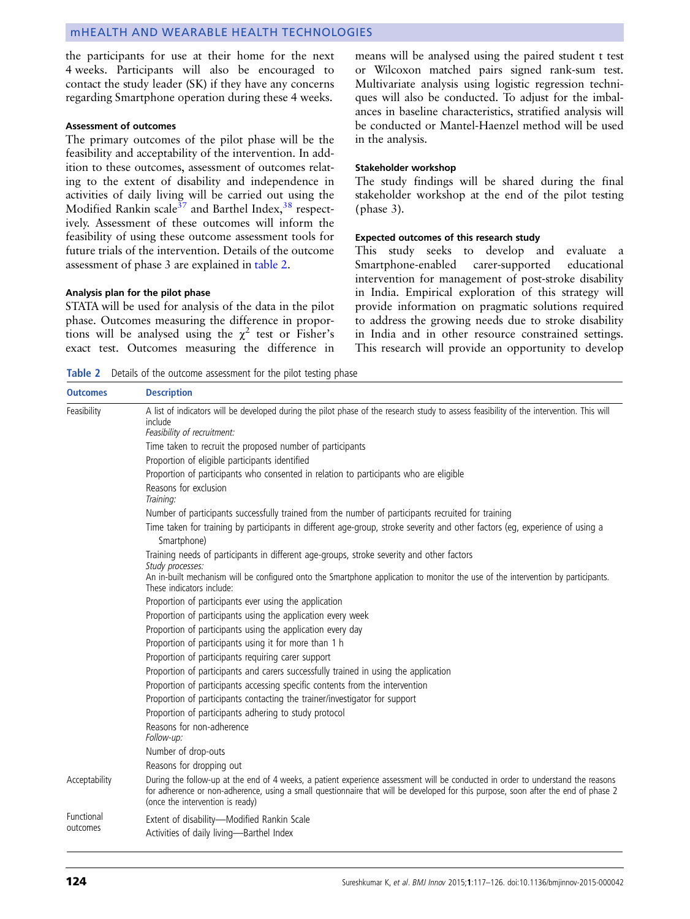## mHEALTH AND WEARABLE HEALTH TECHNOLOGIES

the participants for use at their home for the next 4 weeks. Participants will also be encouraged to contact the study leader (SK) if they have any concerns regarding Smartphone operation during these 4 weeks.

#### Assessment of outcomes

The primary outcomes of the pilot phase will be the feasibility and acceptability of the intervention. In addition to these outcomes, assessment of outcomes relating to the extent of disability and independence in activities of daily living will be carried out using the Modified Rankin scale  $37$  and Barthel Index,  $38$  respectively. Assessment of these outcomes will inform the feasibility of using these outcome assessment tools for future trials of the intervention. Details of the outcome assessment of phase 3 are explained in table 2.

#### Analysis plan for the pilot phase

STATA will be used for analysis of the data in the pilot phase. Outcomes measuring the difference in proportions will be analysed using the  $\chi^2$  test or Fisher's exact test. Outcomes measuring the difference in

means will be analysed using the paired student t test or Wilcoxon matched pairs signed rank-sum test. Multivariate analysis using logistic regression techniques will also be conducted. To adjust for the imbalances in baseline characteristics, stratified analysis will be conducted or Mantel-Haenzel method will be used in the analysis.

## Stakeholder workshop

The study findings will be shared during the final stakeholder workshop at the end of the pilot testing (phase 3).

#### Expected outcomes of this research study

This study seeks to develop and evaluate a Smartphone-enabled carer-supported educational intervention for management of post-stroke disability in India. Empirical exploration of this strategy will provide information on pragmatic solutions required to address the growing needs due to stroke disability in India and in other resource constrained settings. This research will provide an opportunity to develop

Table 2 Details of the outcome assessment for the pilot testing phase

| <b>Outcomes</b>        | <b>Description</b>                                                                                                                                                                                                                                                                                         |
|------------------------|------------------------------------------------------------------------------------------------------------------------------------------------------------------------------------------------------------------------------------------------------------------------------------------------------------|
| Feasibility            | A list of indicators will be developed during the pilot phase of the research study to assess feasibility of the intervention. This will<br>include<br>Feasibility of recruitment:                                                                                                                         |
|                        | Time taken to recruit the proposed number of participants                                                                                                                                                                                                                                                  |
|                        | Proportion of eligible participants identified                                                                                                                                                                                                                                                             |
|                        | Proportion of participants who consented in relation to participants who are eligible                                                                                                                                                                                                                      |
|                        | Reasons for exclusion<br>Training:                                                                                                                                                                                                                                                                         |
|                        | Number of participants successfully trained from the number of participants recruited for training                                                                                                                                                                                                         |
|                        | Time taken for training by participants in different age-group, stroke severity and other factors (eg, experience of using a<br>Smartphone)                                                                                                                                                                |
|                        | Training needs of participants in different age-groups, stroke severity and other factors<br>Study processes:                                                                                                                                                                                              |
|                        | An in-built mechanism will be configured onto the Smartphone application to monitor the use of the intervention by participants.<br>These indicators include:                                                                                                                                              |
|                        | Proportion of participants ever using the application                                                                                                                                                                                                                                                      |
|                        | Proportion of participants using the application every week                                                                                                                                                                                                                                                |
|                        | Proportion of participants using the application every day                                                                                                                                                                                                                                                 |
|                        | Proportion of participants using it for more than 1 h                                                                                                                                                                                                                                                      |
|                        | Proportion of participants requiring carer support                                                                                                                                                                                                                                                         |
|                        | Proportion of participants and carers successfully trained in using the application                                                                                                                                                                                                                        |
|                        | Proportion of participants accessing specific contents from the intervention                                                                                                                                                                                                                               |
|                        | Proportion of participants contacting the trainer/investigator for support                                                                                                                                                                                                                                 |
|                        | Proportion of participants adhering to study protocol                                                                                                                                                                                                                                                      |
|                        | Reasons for non-adherence<br>Follow-up:                                                                                                                                                                                                                                                                    |
|                        | Number of drop-outs                                                                                                                                                                                                                                                                                        |
|                        | Reasons for dropping out                                                                                                                                                                                                                                                                                   |
| Acceptability          | During the follow-up at the end of 4 weeks, a patient experience assessment will be conducted in order to understand the reasons<br>for adherence or non-adherence, using a small questionnaire that will be developed for this purpose, soon after the end of phase 2<br>(once the intervention is ready) |
| Functional<br>outcomes | Extent of disability-Modified Rankin Scale<br>Activities of daily living-Barthel Index                                                                                                                                                                                                                     |
|                        |                                                                                                                                                                                                                                                                                                            |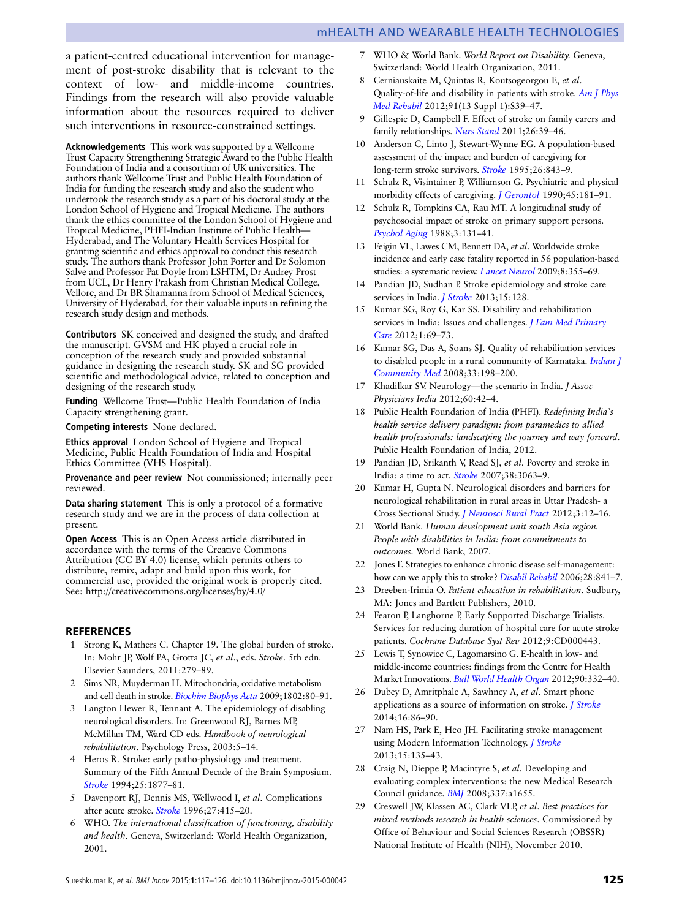<span id="page-8-0"></span>a patient-centred educational intervention for management of post-stroke disability that is relevant to the context of low- and middle-income countries. Findings from the research will also provide valuable information about the resources required to deliver such interventions in resource-constrained settings.

Acknowledgements This work was supported by a Wellcome Trust Capacity Strengthening Strategic Award to the Public Health Foundation of India and a consortium of UK universities. The authors thank Wellcome Trust and Public Health Foundation of India for funding the research study and also the student who undertook the research study as a part of his doctoral study at the London School of Hygiene and Tropical Medicine. The authors thank the ethics committee of the London School of Hygiene and Tropical Medicine, PHFI-Indian Institute of Public Health— Hyderabad, and The Voluntary Health Services Hospital for granting scientific and ethics approval to conduct this research study. The authors thank Professor John Porter and Dr Solomon Salve and Professor Pat Doyle from LSHTM, Dr Audrey Prost from UCL, Dr Henry Prakash from Christian Medical College, Vellore, and Dr BR Shamanna from School of Medical Sciences, University of Hyderabad, for their valuable inputs in refining the research study design and methods.

Contributors SK conceived and designed the study, and drafted the manuscript. GVSM and HK played a crucial role in conception of the research study and provided substantial guidance in designing the research study. SK and SG provided scientific and methodological advice, related to conception and designing of the research study.

Funding Wellcome Trust—Public Health Foundation of India Capacity strengthening grant.

Competing interests None declared.

Ethics approval London School of Hygiene and Tropical Medicine, Public Health Foundation of India and Hospital Ethics Committee (VHS Hospital).

Provenance and peer review Not commissioned; internally peer reviewed.

Data sharing statement This is only a protocol of a formative research study and we are in the process of data collection at present.

Open Access This is an Open Access article distributed in accordance with the terms of the Creative Commons Attribution (CC BY 4.0) license, which permits others to distribute, remix, adapt and build upon this work, for commercial use, provided the original work is properly cited. See: [http://creativecommons.org/licenses/by/4.0/](http://dx.doi.org/10.1016/j.bbadis.2009.09.003)

#### **REFERENCES**

- 1 Strong K, Mathers C. Chapter 19. The global burden of stroke. In: Mohr JP, Wolf PA, Grotta JC, et al., eds. Stroke. 5th edn. Elsevier Saunders, 2011:279–89.
- 2 Sims NR, Muyderman H. Mitochondria, oxidative metabolism and cell death in stroke. [Biochim Biophys Acta](http://dx.doi.org/10.1161/01.STR.25.9.1877) 2009;1802:80–91.
- 3 Langton Hewer R, Tennant A. The epidemiology of disabling neurological disorders. In: Greenwood RJ, Barnes MP, McMillan TM, Ward CD eds. Handbook of neurological rehabilitation. Psychology Press, 2003:5–14.
- 4 Heros R. Stroke: early patho-physiology and treatment. Summary of the Fifth Annual Decade of the Brain Symposium. [Stroke](http://dx.doi.org/10.1161/01.STR.27.3.415) 1994;25:1877–81.
- 5 Davenport RJ, Dennis MS, Wellwood I, et al. Complications after acute stroke. [Stroke](http://dx.doi.org/10.1097/PHM.0b013e31823d4df7) 1996;27:415–20.
- 6 WHO. The international classification of functioning, disability and health. Geneva, Switzerland: World Health Organization, 2001.
- 7 WHO & World Bank. World Report on Disability. Geneva, Switzerland: World Health Organization, 2011.
- 8 Cerniauskaite M, Quintas R, Koutsogeorgou E, et al. Quality-of-life and disability in patients with stroke. [Am J Phys](http://dx.doi.org/10.7748/ns2011.09.26.2.39.c8707) [Med Rehabil](http://dx.doi.org/10.7748/ns2011.09.26.2.39.c8707) 2012;91(13 Suppl 1):S39–47.
- 9 Gillespie D, Campbell F. Effect of stroke on family carers and family relationships. [Nurs Stand](http://dx.doi.org/10.1161/01.STR.26.5.843) 2011;26:39-46.
- 10 Anderson C, Linto J, Stewart-Wynne EG. A population-based assessment of the impact and burden of caregiving for long-term stroke survivors. [Stroke](http://dx.doi.org/10.1093/geronj/45.5.P181) 1995;26:843-9.
- 11 Schulz R, Visintainer P, Williamson G. Psychiatric and physical morbidity effects of caregiving. [J Gerontol](http://dx.doi.org/10.1037/0882-7974.3.2.131) 1990;45:181-91.
- 12 Schulz R, Tompkins CA, Rau MT. A longitudinal study of psychosocial impact of stroke on primary support persons. [Psychol Aging](http://dx.doi.org/10.1016/S1474-4422(09)70025-0) 1988;3:131–41.
- 13 Feigin VL, Lawes CM, Bennett DA, et al. Worldwide stroke incidence and early case fatality reported in 56 population-based studies: a systematic review. *[Lancet Neurol](http://dx.doi.org/10.5853/jos.2013.15.3.128)* 2009;8:355-69.
- 14 Pandian JD, Sudhan P. Stroke epidemiology and stroke care services in India. *[J Stroke](http://dx.doi.org/10.4103/2249-4863.94458)* 2013;15:128.
- 15 Kumar SG, Roy G, Kar SS. Disability and rehabilitation services in India: Issues and challenges. *[J Fam Med Primary](http://dx.doi.org/10.4103/0970-0218.42066)* [Care](http://dx.doi.org/10.4103/0970-0218.42066) 2012;1:69-73.
- 16 Kumar SG, Das A, Soans SJ. Quality of rehabilitation services to disabled people in a rural community of Karnataka. *[Indian J](http://dx.doi.org/10.1161/STROKEAHA.107.496869)* [Community Med](http://dx.doi.org/10.1161/STROKEAHA.107.496869) 2008;33:198–200.
- 17 Khadilkar SV. Neurology—the scenario in India. J Assoc Physicians India 2012;60:42–4.
- 18 Public Health Foundation of India (PHFI). Redefining India's health service delivery paradigm: from paramedics to allied health professionals: landscaping the journey and way forward. Public Health Foundation of India, 2012.
- 19 Pandian JD, Srikanth V, Read SJ, et al. Poverty and stroke in India: a time to act. [Stroke](http://dx.doi.org/10.4103/0976-3147.91923) 2007;38:3063–9.
- 20 Kumar H, Gupta N. Neurological disorders and barriers for neurological rehabilitation in rural areas in Uttar Pradesh- a Cross Sectional Study. [J Neurosci Rural Pract](http://dx.doi.org/10.1080/09638280500534952) 2012;3:12–16.
- 21 World Bank. Human development unit south Asia region. People with disabilities in India: from commitments to outcomes. World Bank, 2007.
- 22 Jones F. Strategies to enhance chronic disease self-management: how can we apply this to stroke? [Disabil Rehabil](http://dx.doi.org/10.2471/BLT.11.099820) 2006;28:841-7.
- 23 Dreeben-Irimia O. Patient education in rehabilitation. Sudbury, MA: Jones and Bartlett Publishers, 2010.
- 24 Fearon P, Langhorne P, Early Supported Discharge Trialists. Services for reducing duration of hospital care for acute stroke patients. Cochrane Database Syst Rev 2012;9:CD000443.
- 25 Lewis T, Synowiec C, Lagomarsino G. E-health in low- and middle-income countries: findings from the Centre for Health Market Innovations. [Bull World Health Organ](http://dx.doi.org/10.5853/jos.2014.16.2.86) 2012;90:332-40.
- 26 Dubey D, Amritphale A, Sawhney A, et al. Smart phone applications as a source of information on stroke. *[J Stroke](http://dx.doi.org/10.5853/jos.2013.15.3.135)* 2014;16:86–90.
- 27 Nam HS, Park E, Heo JH. Facilitating stroke management using Modern Information Technology. *[J Stroke](http://dx.doi.org/10.1136/bmj.a1655)* 2013;15:135–43.
- 28 Craig N, Dieppe P, Macintyre S, et al. Developing and evaluating complex interventions: the new Medical Research Council guidance. [BMJ](obssr.od.nih.gov/pdf/qualitative.pdf) 2008;337:a1655.
- 29 Creswell JW, Klassen AC, Clark VLP, et al. Best practices for mixed methods research in health sciences. Commissioned by Office of Behaviour and Social Sciences Research (OBSSR) National Institute of Health (NIH), November 2010.